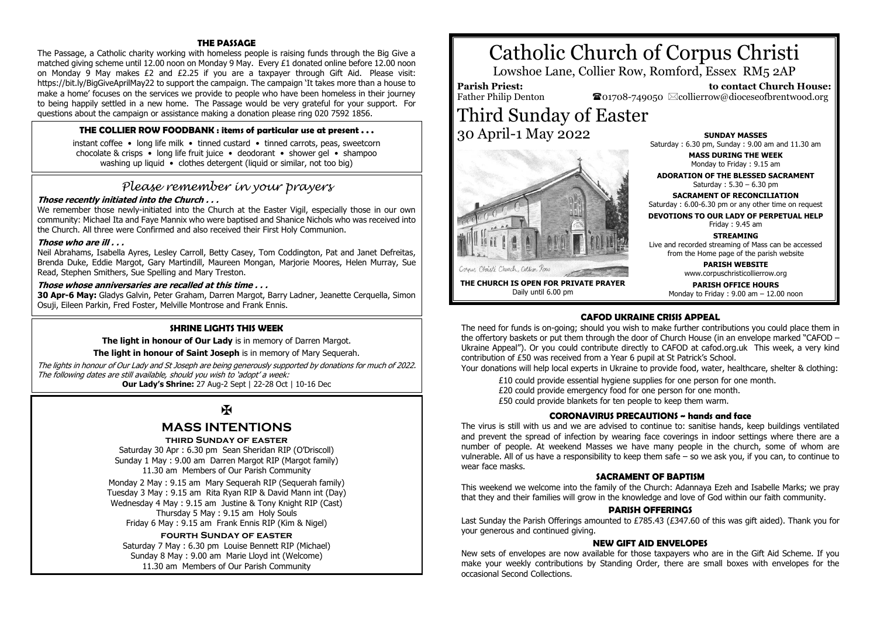# **THE PASSAGE**

The Passage, a Catholic charity working with homeless people is raising funds through the Big Give a matched giving scheme until 12.00 noon on Monday 9 May. Every £1 donated online before 12.00 noon on Monday 9 May makes £2 and £2.25 if you are a taxpayer through Gift Aid. Please visit: https://bit.ly/BigGiveAprilMay22 to support the campaign. The campaign 'It takes more than a house to make a home' focuses on the services we provide to people who have been homeless in their journey to being happily settled in a new home. The Passage would be very grateful for your support. For questions about the campaign or assistance making a donation please ring 020 7592 1856.

# **THE COLLIER ROW FOODBANK : items of particular use at present . . .**

instant coffee • long life milk • tinned custard • tinned carrots, peas, sweetcorn chocolate & crisps • long life fruit juice • deodorant • shower gel • shampoo washing up liquid • clothes detergent (liquid or similar, not too big)

# *Please remember in your prayers*

# **Those recently initiated into the Church . . .**

We remember those newly-initiated into the Church at the Easter Vigil, especially those in our own community: Michael Ita and Faye Mannix who were baptised and Shanice Nichols who was received into the Church. All three were Confirmed and also received their First Holy Communion.

#### **Those who are ill . . .**

Neil Abrahams, Isabella Ayres, Lesley Carroll, Betty Casey, Tom Coddington, Pat and Janet Defreitas, Brenda Duke, Eddie Margot, Gary Martindill, Maureen Mongan, Marjorie Moores, Helen Murray, Sue Read, Stephen Smithers, Sue Spelling and Mary Treston.

# **Those whose anniversaries are recalled at this time . . .**

**30 Apr-6 May:** Gladys Galvin, Peter Graham, Darren Margot, Barry Ladner, Jeanette Cerquella, Simon Osuji, Eileen Parkin, Fred Foster, Melville Montrose and Frank Ennis.

# **SHRINE LIGHTS THIS WEEK**

**The light in honour of Our Lady** is in memory of Darren Margot.

**The light in honour of Saint Joseph** is in memory of Mary Sequerah.

The lights in honour of Our Lady and St Joseph are being generously supported by donations for much of 2022. The following dates are still available, should you wish to 'adopt' a week: **Our Lady's Shrine:** 27 Aug-2 Sept | 22-28 Oct | 10-16 Dec

# Ж

# **MASS INTENTIONS**

#### **third Sunday of easter**

Saturday 30 Apr : 6.30 pm Sean Sheridan RIP (O'Driscoll) Sunday 1 May : 9.00 am Darren Margot RIP (Margot family) 11.30 am Members of Our Parish Community

Monday 2 May : 9.15 am Mary Sequerah RIP (Sequerah family) Tuesday 3 May : 9.15 am Rita Ryan RIP & David Mann int (Day) Wednesday 4 May : 9.15 am Justine & Tony Knight RIP (Cast) Thursday 5 May : 9.15 am Holy Souls Friday 6 May : 9.15 am Frank Ennis RIP (Kim & Nigel)

# **fourth Sunday of easter**

Saturday 7 May : 6.30 pm Louise Bennett RIP (Michael) Sunday 8 May : 9.00 am Marie Lloyd int (Welcome) 11.30 am Members of Our Parish Community

# Catholic Church of Corpus Christi

Lowshoe Lane, Collier Row, Romford, Essex RM5 2AP

**Parish Priest:** Father Philip Denton

Cornus Christi Church, Collier Row

 **to contact Church House:**  $\bullet$ 01708-749050  $\boxtimes$ collierrow@dioceseofbrentwood.org

Third Sunday of Easter 30 April-1 May 2022



**MASS DURING THE WEEK** Monday to Friday : 9.15 am

**ADORATION OF THE BLESSED SACRAMENT** Saturday : 5.30 – 6.30 pm

**SACRAMENT OF RECONCILIATION** Saturday : 6.00-6.30 pm or any other time on request

**DEVOTIONS TO OUR LADY OF PERPETUAL HELP** Friday : 9.45 am

# **STREAMING**

Live and recorded streaming of Mass can be accessed from the Home page of the parish website

> **PARISH WEBSITE** www.corpuschristicollierrow.org

**THE CHURCH IS OPEN FOR PRIVATE PRAYER** Daily until 6.00 pm

**PARISH OFFICE HOURS**

Monday to Friday : 9.00 am – 12.00 noon

# **CAFOD UKRAINE CRISIS APPEAL**

The need for funds is on-going; should you wish to make further contributions you could place them in the offertory baskets or put them through the door of Church House (in an envelope marked "CAFOD – Ukraine Appeal"). Or you could contribute directly to CAFOD at cafod.org.uk This week, a very kind contribution of £50 was received from a Year 6 pupil at St Patrick's School.

Your donations will help local experts in Ukraine to provide food, water, healthcare, shelter & clothing:

£10 could provide essential hygiene supplies for one person for one month. £20 could provide emergency food for one person for one month. £50 could provide blankets for ten people to keep them warm.

#### **CORONAVIRUS PRECAUTIONS ~ hands and face**

The virus is still with us and we are advised to continue to: sanitise hands, keep buildings ventilated and prevent the spread of infection by wearing face coverings in indoor settings where there are a number of people. At weekend Masses we have many people in the church, some of whom are vulnerable. All of us have a responsibility to keep them safe – so we ask you, if you can, to continue to wear face masks.

#### **SACRAMENT OF BAPTISM**

This weekend we welcome into the family of the Church: Adannaya Ezeh and Isabelle Marks; we pray that they and their families will grow in the knowledge and love of God within our faith community.

#### **PARISH OFFERINGS**

Last Sunday the Parish Offerings amounted to £785.43 (£347.60 of this was gift aided). Thank you for your generous and continued giving.

#### **NEW GIFT AID ENVELOPES**

New sets of envelopes are now available for those taxpayers who are in the Gift Aid Scheme. If you make your weekly contributions by Standing Order, there are small boxes with envelopes for the occasional Second Collections.